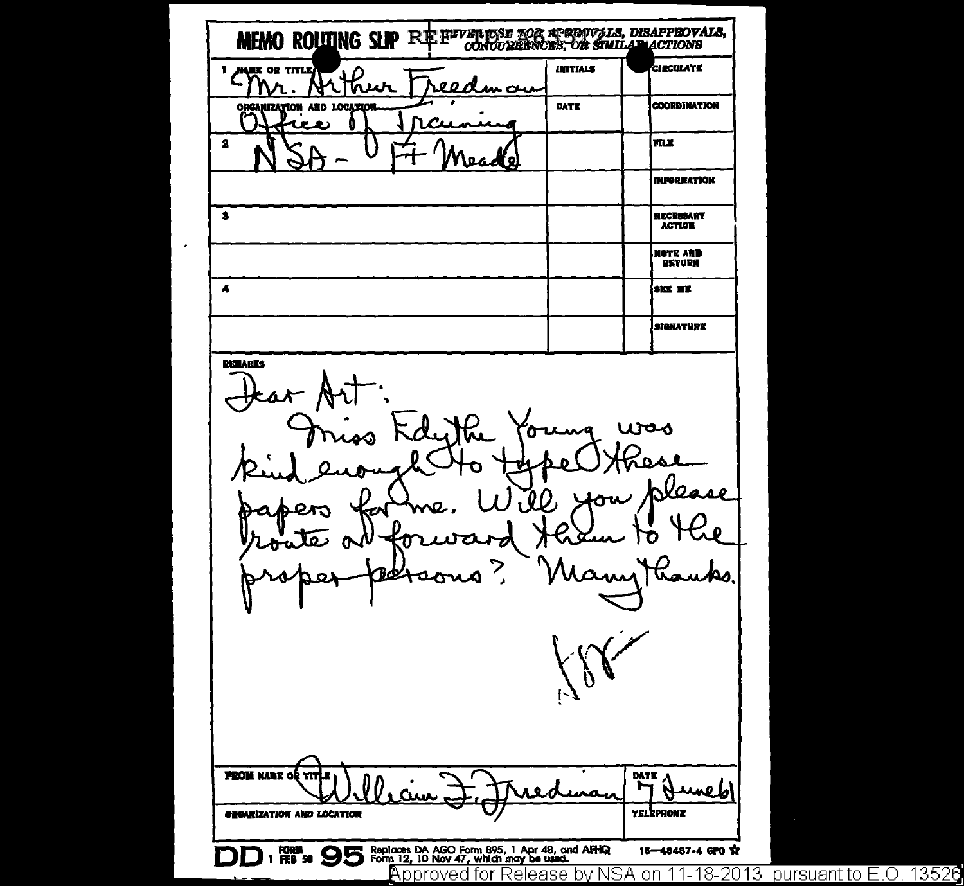MEMO ROUDNG SLIP RE HEVERISE FOR APERDOVALS, DISAPPROVALS, ,<br>GIRCULATE 1 MARK OR TITLE **INITIALS** Nrthur 100 dm an  $\boldsymbol{\Lambda}$  . **DATE COORDINATION** ORGANIZATION AND LOCATION Λ ncu دهما بمديم  $\mathbf{2}$ mu. Jeadte **INFORMATION**  $\bullet$ **NECESSARY ACTION NOTE AND RETURK**  $\overline{a}$ SKE WE *SIGNATURE* **REMARKS** iss Kdeth. was uwa ο Dlease ow O د ه n 11 v amy يملر σ **FROM NAME OF** DATE ÷ ⊢  $\boldsymbol{\beta}$ uneb' Cun eduran **TELEPHONE ORGANIZATION AND LOCATION** FORM 995, 1 Apr 48, and AFHQ<br>1 FEB 50 9 5 Form 12, 10 Nov 47, which may be used. 16-48487-4 GPO TO Approved for Release by NSA on 11-18-2013 pursuant to E.O. 13526

J.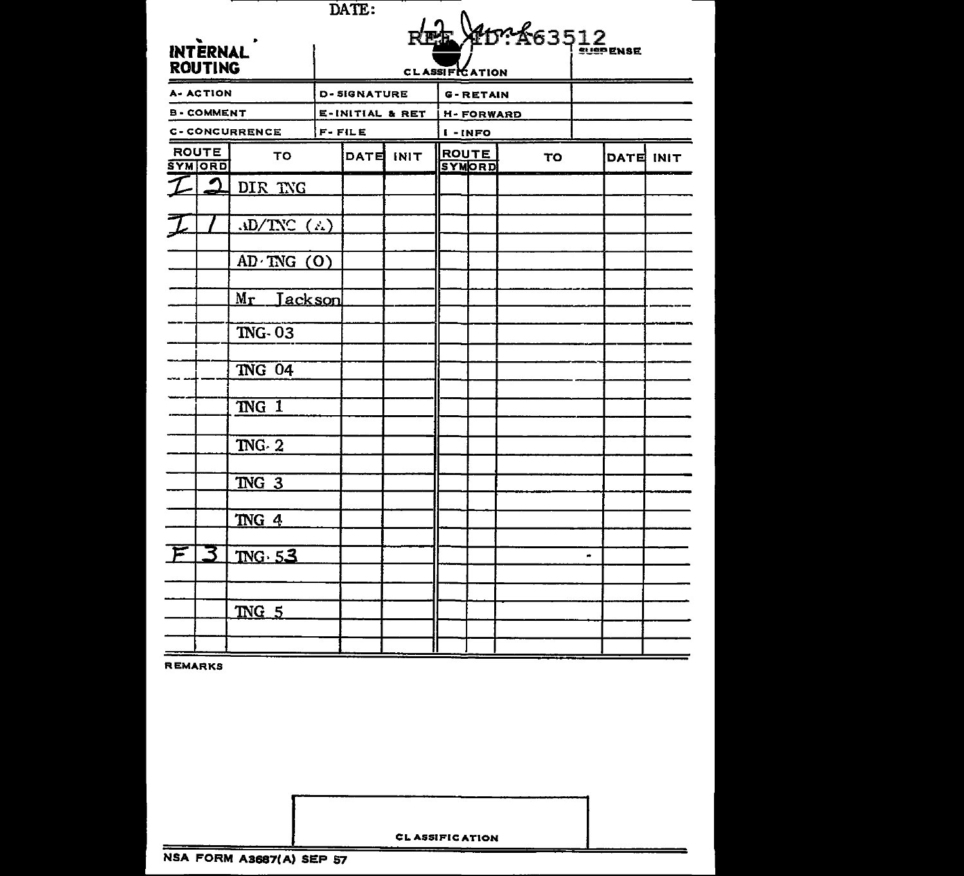|                                     |                  |                    |                            | DATE:                 |             |                                     |               |  |                  |  |  |
|-------------------------------------|------------------|--------------------|----------------------------|-----------------------|-------------|-------------------------------------|---------------|--|------------------|--|--|
| REE \$15:463512                     |                  |                    |                            |                       |             |                                     |               |  |                  |  |  |
| <b>INTERNAL</b>                     |                  |                    |                            |                       |             |                                     |               |  |                  |  |  |
| <b>ROUTING</b>                      |                  |                    |                            | <b>CLASSIFICATION</b> |             |                                     |               |  |                  |  |  |
|                                     | A- ACTION        |                    | <b>D-SIGNATURE</b>         |                       |             | <b>G-RETAIN</b>                     |               |  |                  |  |  |
|                                     | <b>B-COMMENT</b> |                    | <b>E-INITIAL &amp; RET</b> |                       |             | <b>H-FORWARD</b>                    |               |  |                  |  |  |
| <b>C-CONCURRENCE</b>                |                  |                    |                            | $F - FILE$            |             |                                     | <b>I-INFO</b> |  |                  |  |  |
| <b>ROUTE</b><br>то<br><b>SYMORD</b> |                  |                    |                            | DATE                  | <b>INIT</b> | <b>ROUTE</b><br>то<br><b>SYMORD</b> |               |  | <b>DATE INIT</b> |  |  |
|                                     |                  | DIR TYG            |                            |                       |             |                                     |               |  |                  |  |  |
|                                     |                  |                    |                            |                       |             |                                     |               |  |                  |  |  |
|                                     |                  | AD/TNC(A)          |                            |                       |             |                                     |               |  |                  |  |  |
|                                     |                  |                    |                            |                       |             |                                     |               |  |                  |  |  |
|                                     |                  | $AD \cdot TNG$ (O) |                            |                       |             |                                     |               |  |                  |  |  |
|                                     |                  | Mr Jackson         |                            |                       |             |                                     |               |  |                  |  |  |
|                                     |                  |                    |                            |                       |             |                                     |               |  |                  |  |  |
|                                     |                  | <b>TNG-03</b>      |                            |                       |             |                                     |               |  |                  |  |  |
|                                     |                  |                    |                            |                       |             |                                     |               |  |                  |  |  |
|                                     | <b>TNG 04</b>    |                    |                            |                       |             |                                     |               |  |                  |  |  |
|                                     |                  | $\overline{ING}$ 1 |                            |                       |             |                                     |               |  |                  |  |  |
|                                     |                  |                    |                            |                       |             |                                     |               |  |                  |  |  |
|                                     | <b>TNG</b> 2     |                    |                            |                       |             |                                     |               |  |                  |  |  |
|                                     |                  |                    |                            |                       |             |                                     |               |  |                  |  |  |
|                                     |                  | TNG 3              |                            |                       |             |                                     |               |  |                  |  |  |
|                                     |                  |                    |                            |                       |             |                                     |               |  |                  |  |  |
|                                     |                  | TNG 4              |                            |                       |             |                                     |               |  |                  |  |  |
|                                     | 3                | TNG.53             |                            |                       |             |                                     |               |  | ۰                |  |  |
|                                     |                  |                    |                            |                       |             |                                     |               |  |                  |  |  |
|                                     |                  |                    |                            |                       |             |                                     |               |  |                  |  |  |
|                                     |                  | MG <sub>5</sub>    |                            |                       |             |                                     |               |  |                  |  |  |
|                                     |                  |                    |                            |                       |             |                                     |               |  |                  |  |  |
|                                     |                  |                    |                            |                       |             |                                     |               |  |                  |  |  |

**REMARKS** 

**CLASSIFICATION** 

NSA FORM A3687(A) SEP 57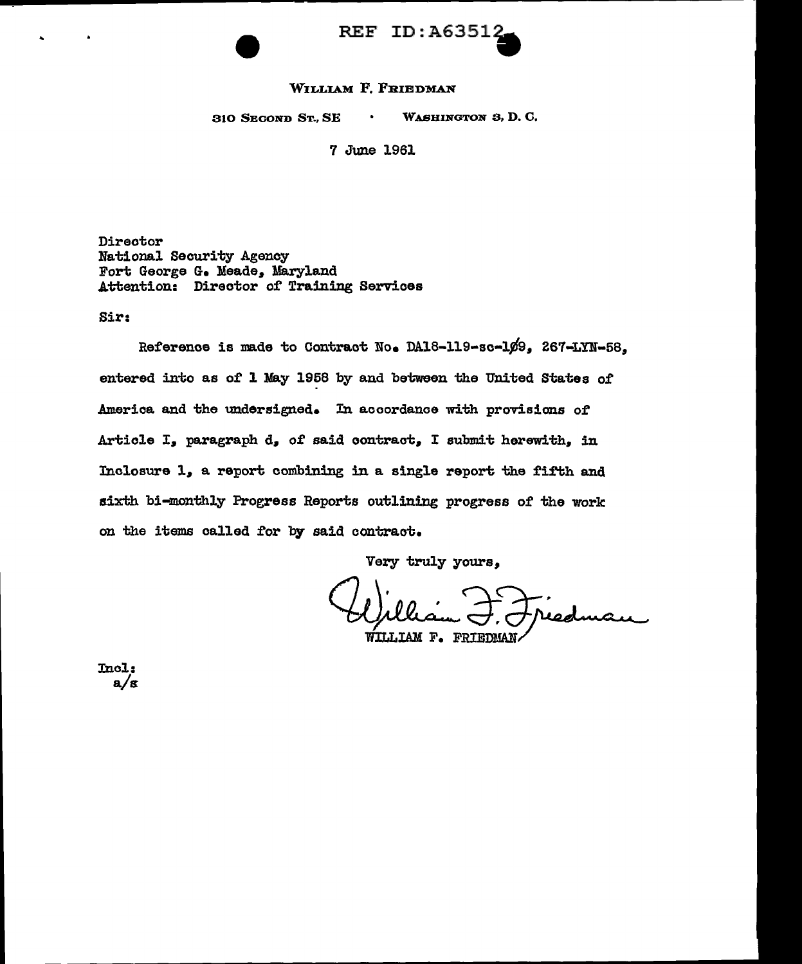## REF ID:A6351.

## WILLIAM F. FRIEDMAN

310 SECOND ST., SE WASHINGTON 3, D. C.

7 June 1961

Director National Security Agency Fort George G. Meade, Maryland Attention: Director of Training Services

Sir:

Reference is made to Contract No. DA18-119-sc-109. 267-LYN-58. entered into as of 1 May 1958 by and between the United States of America and the undersigned. In accordance with provisions of Article I, paragraph d, of said contract, I submit herewith, in Inclosure i. a report combining in a single report the fifth and aixth bi-monthly Progress Reports outlining progress of the work on the items called for by said contract.

Very truly yours.

WILLIAM F. FRIEDMAN

Inol: a/s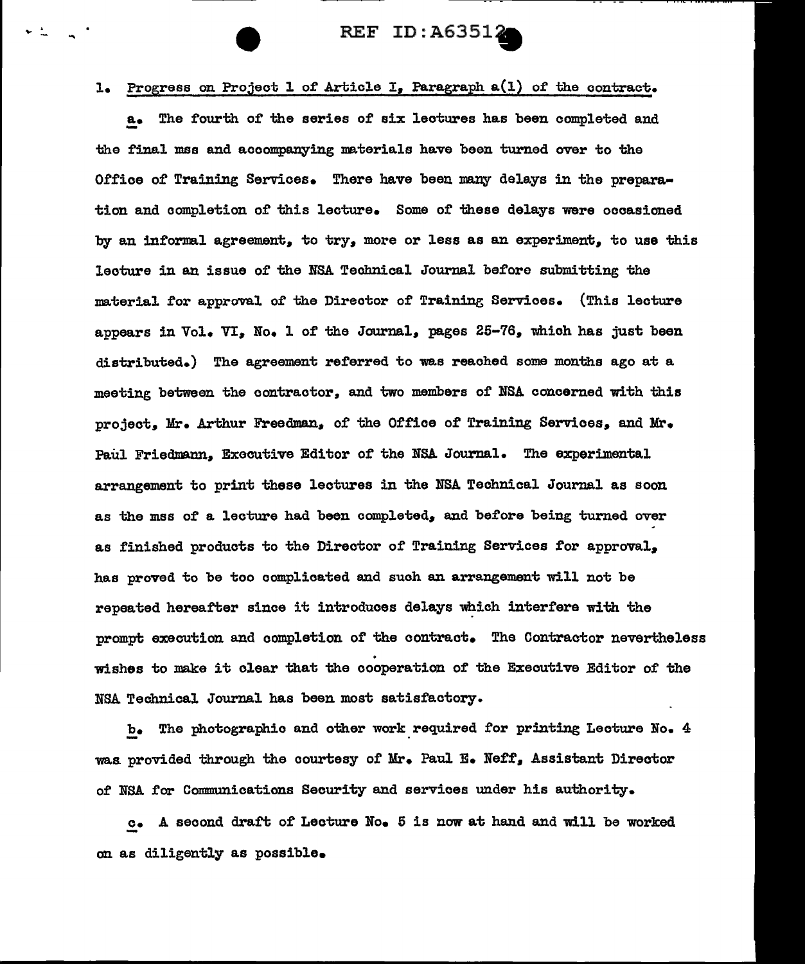## REF ID:A63512

## l. Progress on Project l of Article I. Paragraph a(l) of the contract.

a. The fourth of the series of six lectures has been completed and the final mss and accompanying materials have been turned over to the Office of Training Services. There have been many delays in the preparation and completion of this lecture. Some of these delays were occasioned by an informal agreement. to try. more or less as an experiment. to use this lecture in an issue of the NS.A Technical Journal before submitting the material for approval of the Director of Trainine; Services. (This lecture appears in Vol. VI. No. 1 of the Journal. pages  $25-76$ . which has just been distributed.) The agreement referred to was reached some months ago at a meeting between the contractor, and two members of NSA concerned with this project. Mr. Arthur Freedman. of the Office of Training Services. and Mr. Paul Friedmann. Executive Editor of the NSA Journal. The experimental arrangement to print these lectures in the NSA Technical Journal as soon as the mss of a lecture had been completed, and before being turned over as finished products to the Director of Training Services for approval. has proved to be too complicated and such an arrangement will not be repeated hereafter since it introduces delays which interfere with the prompt execution and completion of the contract. The Contractor nevertheless . wishes to make it clear that the cooperation of the Executive Editor of the NSA. Technical Journal has been most satisfactory.

b. The photographic and other work required for printing Lecture No. 4 was provided through the courtesy of Mr. Paul E. Neff, Assistant Director of NSA for Communications Security and services under his authority.

c. A second draft of Lecture No. 5 is now at hand and will be worked on as diligently as possible.